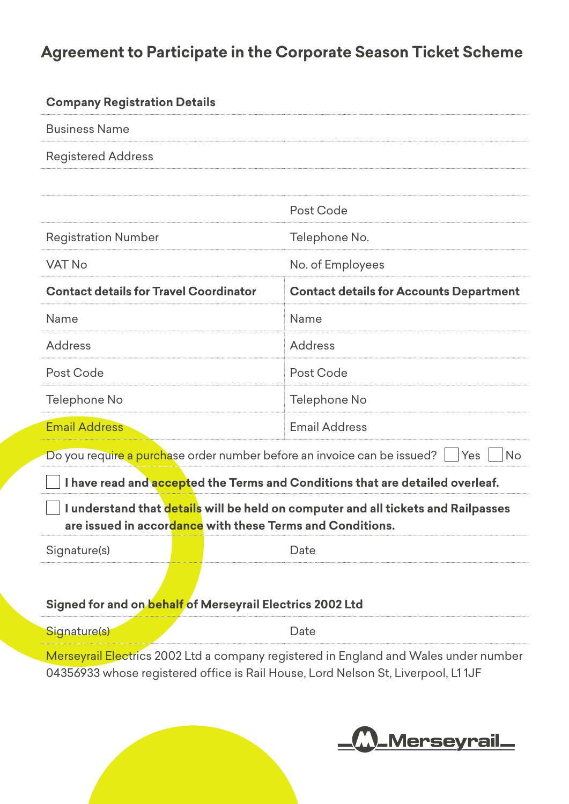## **Agreement to Participate in the Corporate Season Ticket Scheme**

| <b>Company Registration Details</b>                                                                                                                                      |                                                |
|--------------------------------------------------------------------------------------------------------------------------------------------------------------------------|------------------------------------------------|
| <b>Business Name</b>                                                                                                                                                     |                                                |
| <b>Registered Address</b>                                                                                                                                                |                                                |
|                                                                                                                                                                          |                                                |
|                                                                                                                                                                          | Post Code                                      |
| <b>Registration Number</b>                                                                                                                                               | Telephone No.                                  |
| <b>VAT No</b>                                                                                                                                                            | No. of Employees                               |
| <b>Contact details for Travel Coordinator</b>                                                                                                                            | <b>Contact details for Accounts Department</b> |
| Name                                                                                                                                                                     | Name                                           |
| <b>Address</b>                                                                                                                                                           | <b>Address</b>                                 |
| Post Code                                                                                                                                                                | Post Code                                      |
| Telephone No                                                                                                                                                             | Telephone No                                   |
| <b>Email Address</b>                                                                                                                                                     | <b>Email Address</b>                           |
| Do you require a purchase order number before an invoice can be issued?<br><b>No</b><br>Yes                                                                              |                                                |
| I have read and accepted the Terms and Conditions that are detailed overleaf.                                                                                            |                                                |
| I understand that details will be held on computer and all tickets and Railpasses<br>are issued in accordance with these Terms and Conditions.                           |                                                |
| Signature(s)                                                                                                                                                             | Date                                           |
|                                                                                                                                                                          |                                                |
| Signed for and on behalf of Merseyrail Electrics 2002 Ltd                                                                                                                |                                                |
| Signature(s)                                                                                                                                                             | Date                                           |
| Merseyrail Electrics 2002 Ltd a company registered in England and Wales under number<br>04356933 whose registered office is Rail House, Lord Nelson St, Liverpool, L11JF |                                                |